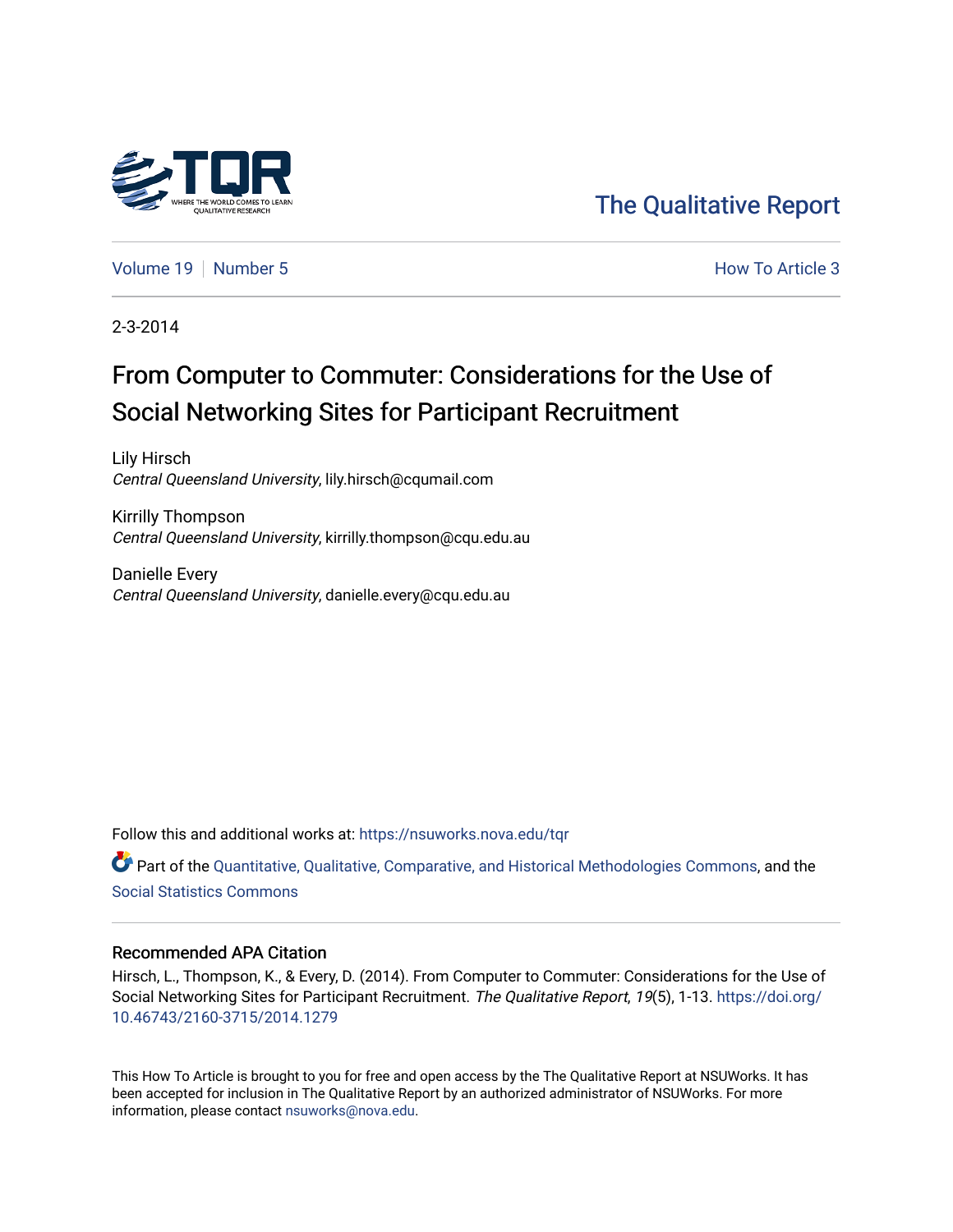

[The Qualitative Report](https://nsuworks.nova.edu/tqr) 

[Volume 19](https://nsuworks.nova.edu/tqr/vol19) [Number 5](https://nsuworks.nova.edu/tqr/vol19/iss5) **How To Article 3** 

2-3-2014

## From Computer to Commuter: Considerations for the Use of Social Networking Sites for Participant Recruitment

Lily Hirsch Central Queensland University, lily.hirsch@cqumail.com

Kirrilly Thompson Central Queensland University, kirrilly.thompson@cqu.edu.au

Danielle Every Central Queensland University, danielle.every@cqu.edu.au

Follow this and additional works at: [https://nsuworks.nova.edu/tqr](https://nsuworks.nova.edu/tqr?utm_source=nsuworks.nova.edu%2Ftqr%2Fvol19%2Fiss5%2F3&utm_medium=PDF&utm_campaign=PDFCoverPages) 

Part of the [Quantitative, Qualitative, Comparative, and Historical Methodologies Commons,](http://network.bepress.com/hgg/discipline/423?utm_source=nsuworks.nova.edu%2Ftqr%2Fvol19%2Fiss5%2F3&utm_medium=PDF&utm_campaign=PDFCoverPages) and the [Social Statistics Commons](http://network.bepress.com/hgg/discipline/1275?utm_source=nsuworks.nova.edu%2Ftqr%2Fvol19%2Fiss5%2F3&utm_medium=PDF&utm_campaign=PDFCoverPages) 

#### Recommended APA Citation

Hirsch, L., Thompson, K., & Every, D. (2014). From Computer to Commuter: Considerations for the Use of Social Networking Sites for Participant Recruitment. The Qualitative Report, 19(5), 1-13. [https://doi.org/](https://doi.org/10.46743/2160-3715/2014.1279) [10.46743/2160-3715/2014.1279](https://doi.org/10.46743/2160-3715/2014.1279)

This How To Article is brought to you for free and open access by the The Qualitative Report at NSUWorks. It has been accepted for inclusion in The Qualitative Report by an authorized administrator of NSUWorks. For more information, please contact [nsuworks@nova.edu.](mailto:nsuworks@nova.edu)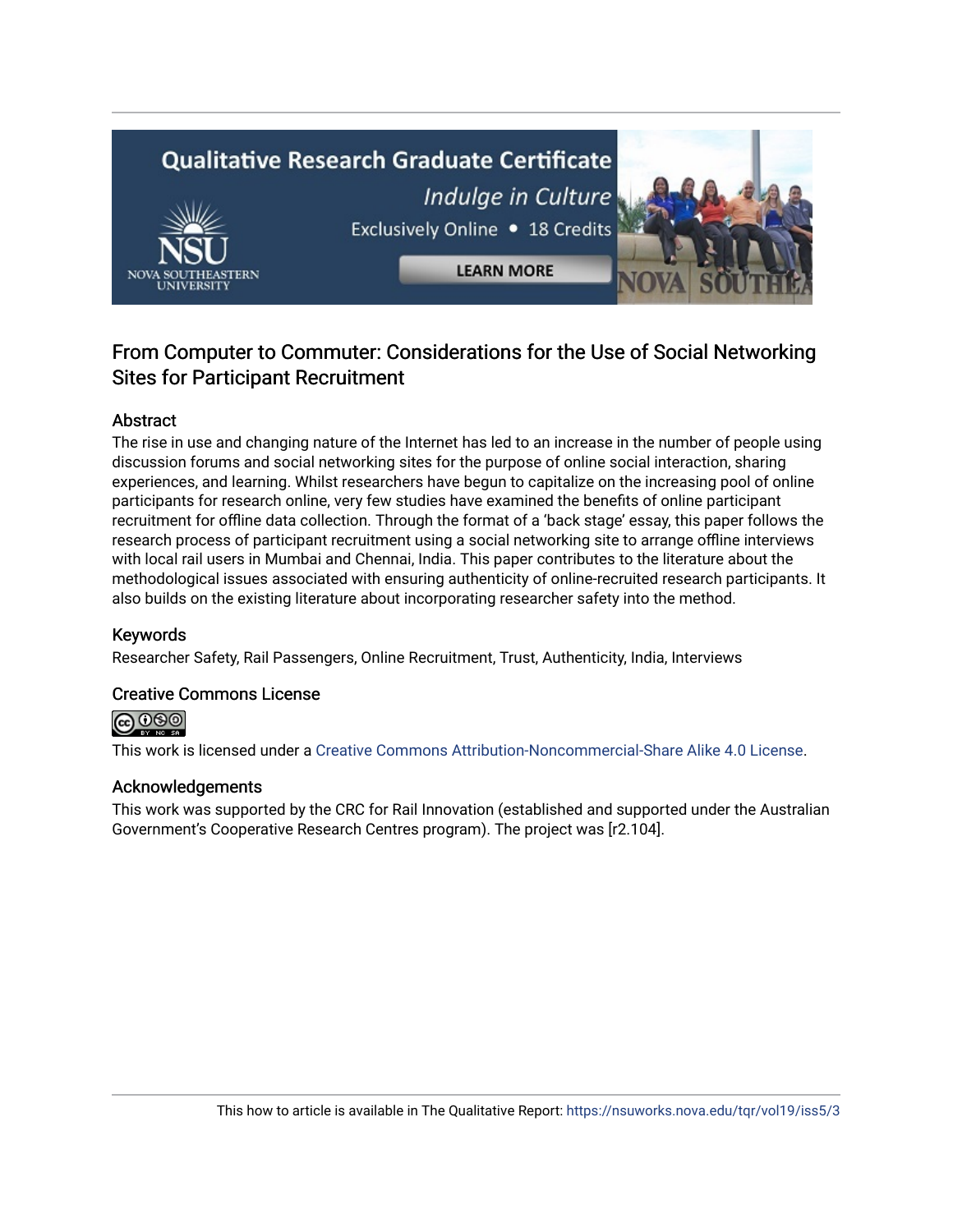# **Qualitative Research Graduate Certificate** Indulge in Culture Exclusively Online . 18 Credits **LEARN MORE**

### From Computer to Commuter: Considerations for the Use of Social Networking Sites for Participant Recruitment

#### Abstract

The rise in use and changing nature of the Internet has led to an increase in the number of people using discussion forums and social networking sites for the purpose of online social interaction, sharing experiences, and learning. Whilst researchers have begun to capitalize on the increasing pool of online participants for research online, very few studies have examined the benefits of online participant recruitment for offline data collection. Through the format of a 'back stage' essay, this paper follows the research process of participant recruitment using a social networking site to arrange offline interviews with local rail users in Mumbai and Chennai, India. This paper contributes to the literature about the methodological issues associated with ensuring authenticity of online-recruited research participants. It also builds on the existing literature about incorporating researcher safety into the method.

#### Keywords

Researcher Safety, Rail Passengers, Online Recruitment, Trust, Authenticity, India, Interviews

#### Creative Commons License

(**ര**) 0®©

This work is licensed under a [Creative Commons Attribution-Noncommercial-Share Alike 4.0 License](https://creativecommons.org/licenses/by-nc-sa/4.0/).

#### Acknowledgements

This work was supported by the CRC for Rail Innovation (established and supported under the Australian Government's Cooperative Research Centres program). The project was [r2.104].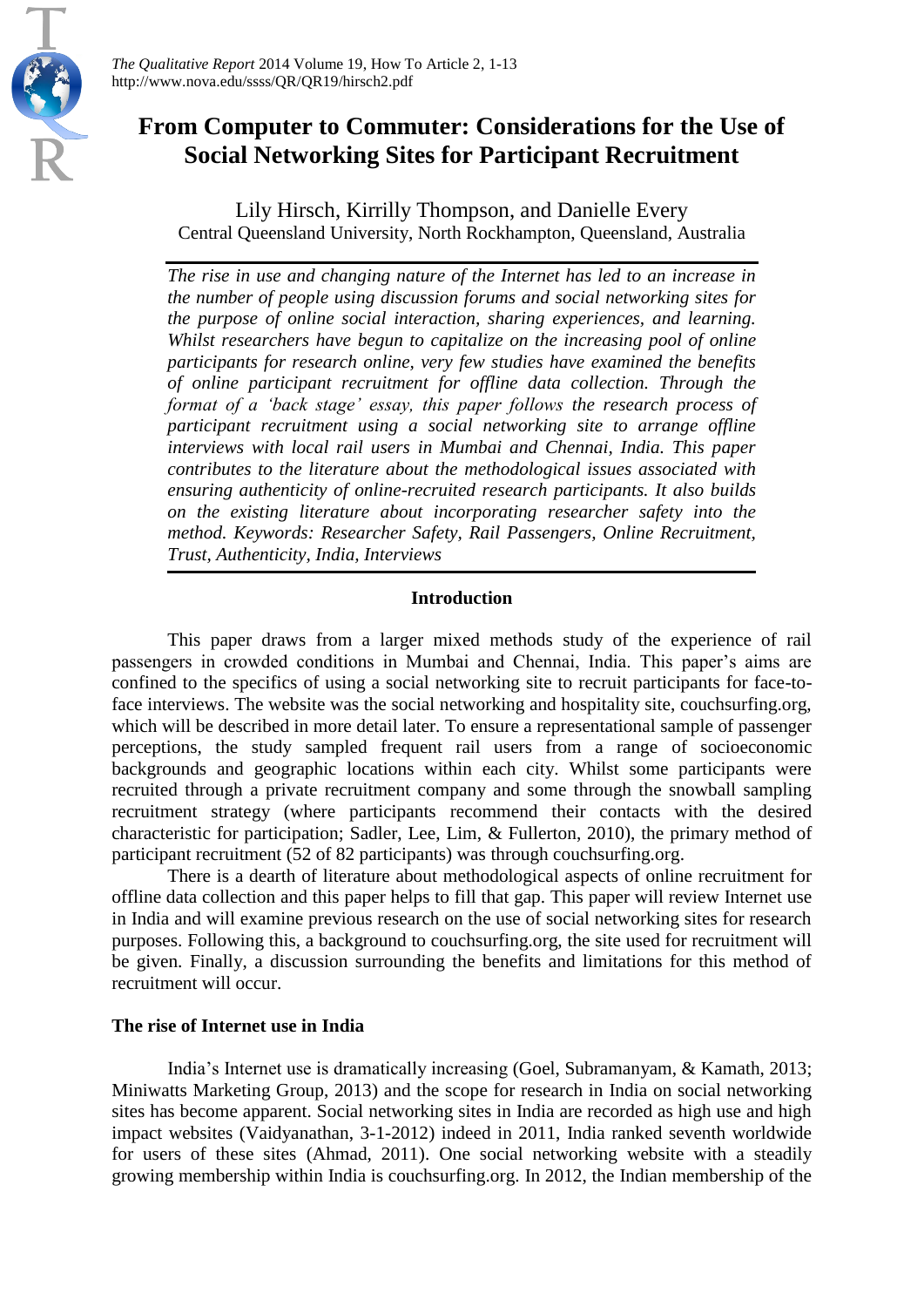

## **From Computer to Commuter: Considerations for the Use of Social Networking Sites for Participant Recruitment**

Lily Hirsch, Kirrilly Thompson, and Danielle Every Central Queensland University, North Rockhampton, Queensland, Australia

*The rise in use and changing nature of the Internet has led to an increase in the number of people using discussion forums and social networking sites for the purpose of online social interaction, sharing experiences, and learning. Whilst researchers have begun to capitalize on the increasing pool of online participants for research online, very few studies have examined the benefits of online participant recruitment for offline data collection. Through the format of a 'back stage' essay, this paper follows the research process of participant recruitment using a social networking site to arrange offline interviews with local rail users in Mumbai and Chennai, India. This paper contributes to the literature about the methodological issues associated with ensuring authenticity of online-recruited research participants. It also builds on the existing literature about incorporating researcher safety into the method. Keywords: Researcher Safety, Rail Passengers, Online Recruitment, Trust, Authenticity, India, Interviews*

#### **Introduction**

This paper draws from a larger mixed methods study of the experience of rail passengers in crowded conditions in Mumbai and Chennai, India. This paper's aims are confined to the specifics of using a social networking site to recruit participants for face-toface interviews. The website was the social networking and hospitality site, couchsurfing.org, which will be described in more detail later. To ensure a representational sample of passenger perceptions, the study sampled frequent rail users from a range of socioeconomic backgrounds and geographic locations within each city. Whilst some participants were recruited through a private recruitment company and some through the snowball sampling recruitment strategy (where participants recommend their contacts with the desired characteristic for participation; [Sadler, Lee, Lim, & Fullerton, 2010\)](#page-13-0), the primary method of participant recruitment (52 of 82 participants) was through couchsurfing.org.

There is a dearth of literature about methodological aspects of online recruitment for offline data collection and this paper helps to fill that gap. This paper will review Internet use in India and will examine previous research on the use of social networking sites for research purposes. Following this, a background to couchsurfing.org, the site used for recruitment will be given. Finally, a discussion surrounding the benefits and limitations for this method of recruitment will occur.

#### **The rise of Internet use in India**

India's Internet use is dramatically increasing [\(Goel, Subramanyam, & Kamath, 2013;](#page-12-0) [Miniwatts Marketing Group, 2013\)](#page-13-1) and the scope for research in India on social networking sites has become apparent. Social networking sites in India are recorded as high use and high impact websites [\(Vaidyanathan, 3-1-2012\)](#page-13-2) indeed in 2011, India ranked seventh worldwide for users of these sites [\(Ahmad, 2011\)](#page-11-0). One social networking website with a steadily growing membership within India is couchsurfing.org. In 2012, the Indian membership of the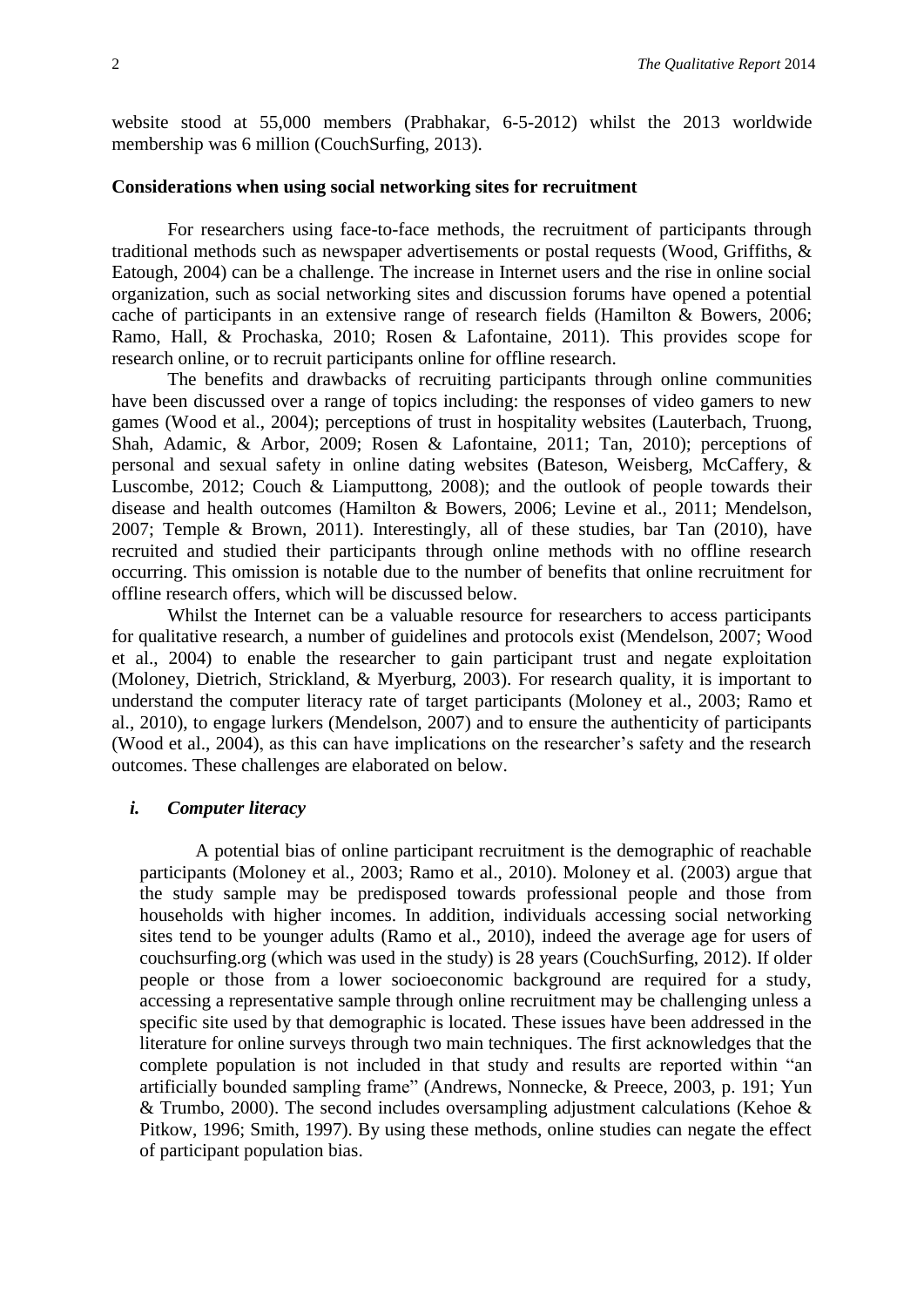website stood at 55,000 members [\(Prabhakar, 6-5-2012\)](#page-13-3) whilst the 2013 worldwide membership was 6 million [\(CouchSurfing, 2013\)](#page-12-1).

#### **Considerations when using social networking sites for recruitment**

For researchers using face-to-face methods, the recruitment of participants through traditional methods such as newspaper advertisements or postal requests [\(Wood, Griffiths, &](#page-13-4)  [Eatough, 2004\)](#page-13-4) can be a challenge. The increase in Internet users and the rise in online social organization, such as social networking sites and discussion forums have opened a potential cache of participants in an extensive range of research fields [\(Hamilton & Bowers, 2006;](#page-12-2) [Ramo, Hall, & Prochaska, 2010;](#page-13-5) [Rosen & Lafontaine, 2011\)](#page-13-6). This provides scope for research online, or to recruit participants online for offline research.

The benefits and drawbacks of recruiting participants through online communities have been discussed over a range of topics including: the responses of video gamers to new games [\(Wood et al., 2004\)](#page-13-4); perceptions of trust in hospitality websites [\(Lauterbach, Truong,](#page-12-3)  [Shah, Adamic, & Arbor, 2009;](#page-12-3) [Rosen & Lafontaine, 2011;](#page-13-6) [Tan, 2010\)](#page-13-7); perceptions of personal and sexual safety in online dating websites [\(Bateson, Weisberg, McCaffery, &](#page-11-1)  [Luscombe, 2012;](#page-11-1) [Couch & Liamputtong, 2008\)](#page-12-4); and the outlook of people towards their disease and health outcomes [\(Hamilton & Bowers, 2006;](#page-12-2) [Levine et al., 2011;](#page-12-5) [Mendelson,](#page-13-8)  [2007;](#page-13-8) [Temple & Brown, 2011\)](#page-13-9). Interestingly, all of these studies, bar Tan [\(2010\)](#page-13-7), have recruited and studied their participants through online methods with no offline research occurring. This omission is notable due to the number of benefits that online recruitment for offline research offers, which will be discussed below.

Whilst the Internet can be a valuable resource for researchers to access participants for qualitative research, a number of guidelines and protocols exist [\(Mendelson, 2007;](#page-13-8) [Wood](#page-13-4)  [et al., 2004\)](#page-13-4) to enable the researcher to gain participant trust and negate exploitation [\(Moloney, Dietrich, Strickland, & Myerburg, 2003\)](#page-13-10). For research quality, it is important to understand the computer literacy rate of target participants [\(Moloney et al., 2003;](#page-13-10) [Ramo et](#page-13-5)  [al., 2010\)](#page-13-5), to engage lurkers [\(Mendelson, 2007\)](#page-13-8) and to ensure the authenticity of participants [\(Wood et al., 2004\)](#page-13-4), as this can have implications on the researcher's safety and the research outcomes. These challenges are elaborated on below.

#### *i. Computer literacy*

A potential bias of online participant recruitment is the demographic of reachable participants [\(Moloney et al., 2003;](#page-13-10) [Ramo et al., 2010\)](#page-13-5). Moloney et al. [\(2003\)](#page-13-10) argue that the study sample may be predisposed towards professional people and those from households with higher incomes. In addition, individuals accessing social networking sites tend to be younger adults [\(Ramo et al., 2010\)](#page-13-5), indeed the average age for users of couchsurfing.org (which was used in the study) is 28 years [\(CouchSurfing, 2012\)](#page-12-6). If older people or those from a lower socioeconomic background are required for a study, accessing a representative sample through online recruitment may be challenging unless a specific site used by that demographic is located. These issues have been addressed in the literature for online surveys through two main techniques. The first acknowledges that the complete population is not included in that study and results are reported within "an artificially bounded sampling frame" [\(Andrews, Nonnecke, & Preece, 2003,](#page-11-2) p. 191; [Yun](#page-13-11)   $&$  Trumbo, 2000). The second includes oversampling adjustment calculations (Kehoe  $&$ [Pitkow, 1996;](#page-12-7) [Smith, 1997\)](#page-13-12). By using these methods, online studies can negate the effect of participant population bias.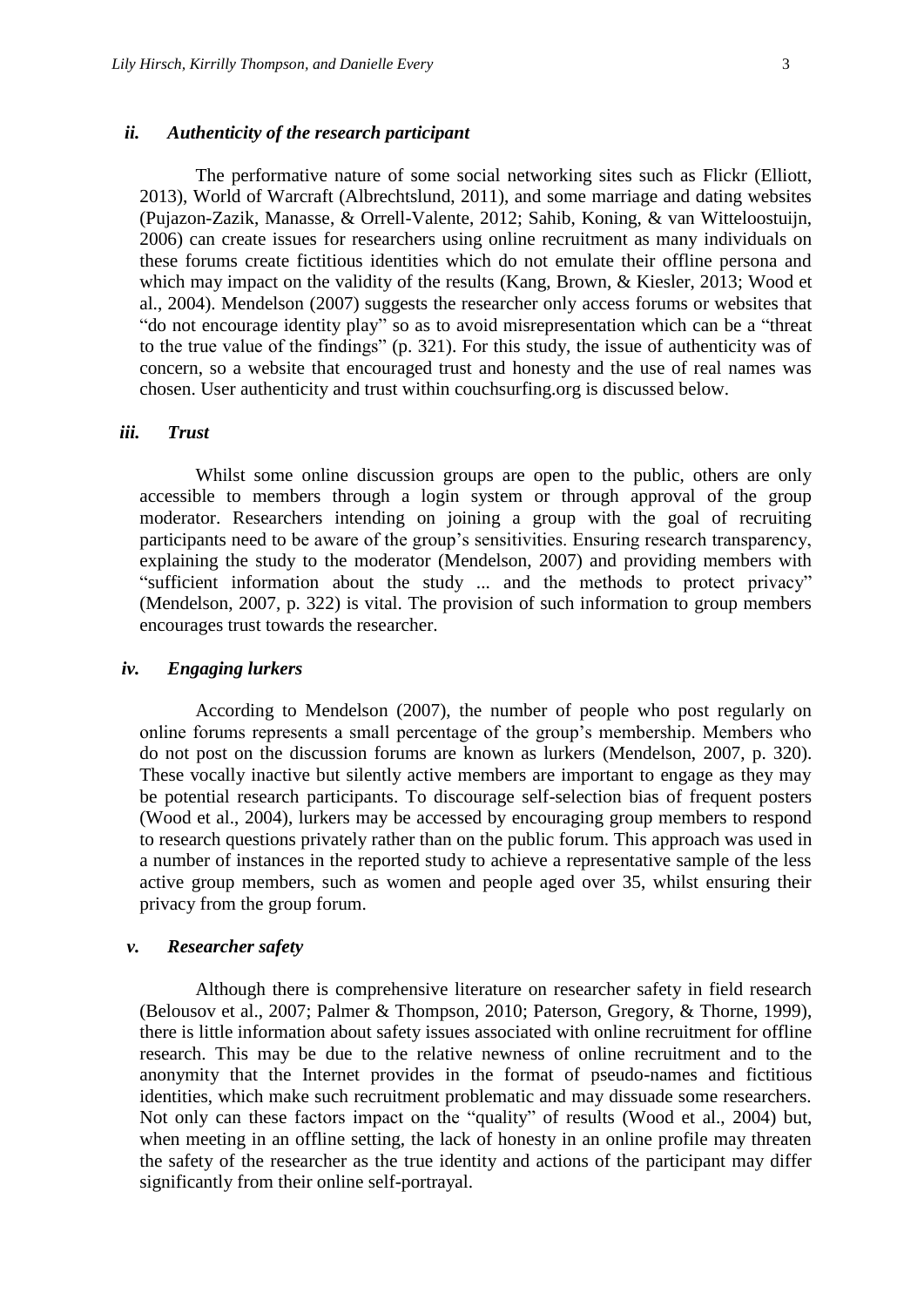#### *ii. Authenticity of the research participant*

The performative nature of some social networking sites such as Flickr (Elliott, 20[13\)](#page-12-8), World of Warcraft [\(Albrechtslund, 2011\)](#page-11-3), and some marriage and dating websites [\(Pujazon-Zazik, Manasse, & Orrell-Valente, 2012;](#page-13-13) [Sahib, Koning, & van Witteloostuijn,](#page-13-14)  [2006\)](#page-13-14) can create issues for researchers using online recruitment as many individuals on these forums create fictitious identities which do not emulate their offline persona and which may impact on the validity of the results [\(Kang, Brown, & Kiesler, 2013;](#page-12-9) Wood et [al., 2004\)](#page-13-4). Mendelson (2007) suggests the researcher only access forums or websites that "do not encourage identity play" so as to avoid misrepresentation which can be a "threat to the true value of the findings" [\(p. 321\)](#page-13-8). For this study, the issue of authenticity was of concern, so a website that encouraged trust and honesty and the use of real names was chosen. User authenticity and trust within couchsurfing.org is discussed below.

#### *iii. Trust*

Whilst some online discussion groups are open to the public, others are only accessible to members through a login system or through approval of the group moderator. Researchers intending on joining a group with the goal of recruiting participants need to be aware of the group's sensitivities. Ensuring research transparency, explaining the study to the moderator [\(Mendelson, 2007\)](#page-13-8) and providing members with "sufficient information about the study ... and the methods to protect privacy" [\(Mendelson, 2007, p. 322\)](#page-13-8) is vital. The provision of such information to group members encourages trust towards the researcher.

#### *iv. Engaging lurkers*

According to Mendelson [\(2007\)](#page-13-8), the number of people who post regularly on online forums represents a small percentage of the group's membership. Members who do not post on the discussion forums are known as lurkers [\(Mendelson, 2007, p. 320\)](#page-13-8). These vocally inactive but silently active members are important to engage as they may be potential research participants. To discourage self-selection bias of frequent posters [\(Wood et al., 2004\)](#page-13-4), lurkers may be accessed by encouraging group members to respond to research questions privately rather than on the public forum. This approach was used in a number of instances in the reported study to achieve a representative sample of the less active group members, such as women and people aged over 35, whilst ensuring their privacy from the group forum.

#### *v. Researcher safety*

Although there is comprehensive literature on researcher safety in field research [\(Belousov et al., 2007;](#page-11-4) [Palmer & Thompson, 2010;](#page-13-15) [Paterson, Gregory, & Thorne, 1999\)](#page-13-16), there is little information about safety issues associated with online recruitment for offline research. This may be due to the relative newness of online recruitment and to the anonymity that the Internet provides in the format of pseudo-names and fictitious identities, which make such recruitment problematic and may dissuade some researchers. Not only can these factors impact on the "quality" of results [\(Wood et al., 2004\)](#page-13-4) but, when meeting in an offline setting, the lack of honesty in an online profile may threaten the safety of the researcher as the true identity and actions of the participant may differ significantly from their online self-portrayal.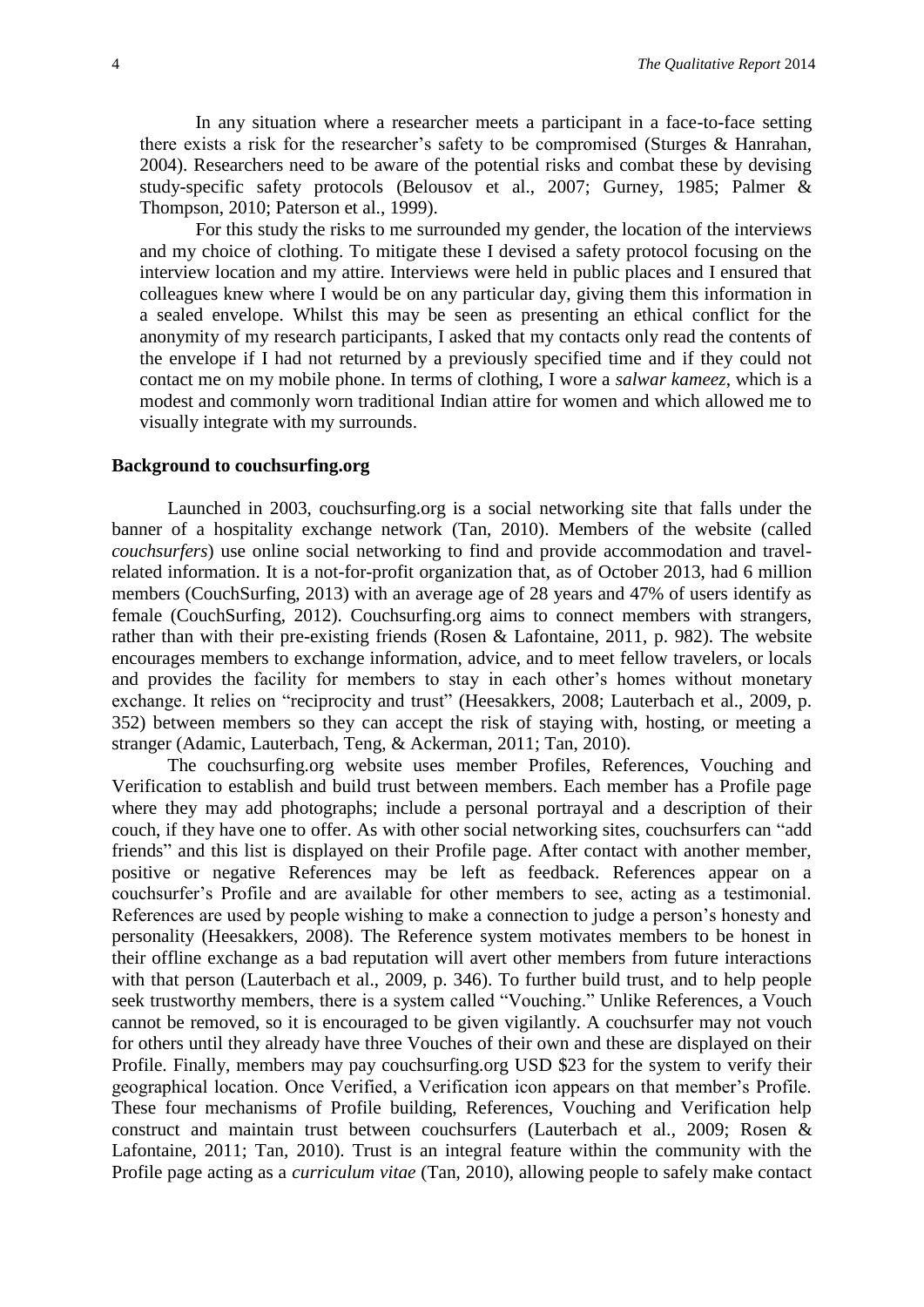In any situation where a researcher meets a participant in a face-to-face setting there exists a risk for the researcher's safety to be compromised [\(Sturges & Hanrahan,](#page-13-17)  [2004\)](#page-13-17). Researchers need to be aware of the potential risks and combat these by devising study-specific safety protocols [\(Belousov et al., 2007;](#page-11-4) [Gurney, 1985;](#page-12-10) [Palmer &](#page-13-15)  [Thompson, 2010;](#page-13-15) [Paterson et al., 1999\)](#page-13-16).

For this study the risks to me surrounded my gender, the location of the interviews and my choice of clothing. To mitigate these I devised a safety protocol focusing on the interview location and my attire. Interviews were held in public places and I ensured that colleagues knew where I would be on any particular day, giving them this information in a sealed envelope. Whilst this may be seen as presenting an ethical conflict for the anonymity of my research participants, I asked that my contacts only read the contents of the envelope if I had not returned by a previously specified time and if they could not contact me on my mobile phone. In terms of clothing, I wore a *salwar kameez*, which is a modest and commonly worn traditional Indian attire for women and which allowed me to visually integrate with my surrounds.

#### **Background to couchsurfing.org**

Launched in 2003, couchsurfing.org is a social networking site that falls under the banner of a hospitality exchange network [\(Tan, 2010\)](#page-13-7). Members of the website (called *couchsurfers*) use online social networking to find and provide accommodation and travelrelated information. It is a not-for-profit organization that, as of October 2013, had 6 million members [\(CouchSurfing, 2013\)](#page-12-1) with an average age of 28 years and 47% of users identify as female [\(CouchSurfing, 2012\)](#page-12-6). Couchsurfing.org aims to connect members with strangers, rather than with their pre-existing friends [\(Rosen & Lafontaine, 2011, p. 982\)](#page-13-6). The website encourages members to exchange information, advice, and to meet fellow travelers, or locals and provides the facility for members to stay in each other's homes without monetary exchange. It relies on "reciprocity and trust" [\(Heesakkers, 2008;](#page-12-11) Lauterbach [et al., 2009, p.](#page-12-3)  [352\)](#page-12-3) between members so they can accept the risk of staying with, hosting, or meeting a stranger [\(Adamic, Lauterbach, Teng, & Ackerman, 2011;](#page-11-5) [Tan, 2010\)](#page-13-7).

The couchsurfing.org website uses member Profiles, References, Vouching and Verification to establish and build trust between members. Each member has a Profile page where they may add photographs; include a personal portrayal and a description of their couch, if they have one to offer. As with other social networking sites, couchsurfers can "add friends" and this list is displayed on their Profile page. After contact with another member, positive or negative References may be left as feedback. References appear on a couchsurfer's Profile and are available for other members to see, acting as a testimonial. References are used by people wishing to make a connection to judge a person's honesty and personality [\(Heesakkers, 2008\)](#page-12-11). The Reference system motivates members to be honest in their offline exchange as a bad reputation will avert other members from future interactions with that person [\(Lauterbach et al.,](#page-12-3) 2009, p. 346). To further build trust, and to help people seek trustworthy members, there is a system called "Vouching." Unlike References, a Vouch cannot be removed, so it is encouraged to be given vigilantly. A couchsurfer may not vouch for others until they already have three Vouches of their own and these are displayed on their Profile. Finally, members may pay couchsurfing.org USD \$23 for the system to verify their geographical location. Once Verified, a Verification icon appears on that member's Profile. These four mechanisms of Profile building, References, Vouching and Verification help construct and maintain trust between couchsurfers [\(Lauterbach et al., 2009;](#page-12-3) [Rosen &](#page-13-6)  [Lafontaine, 2011;](#page-13-6) [Tan, 2010\)](#page-13-7). Trust is an integral feature within the community with the Profile page acting as a *curriculum vitae* [\(Tan, 2010\)](#page-13-7), allowing people to safely make contact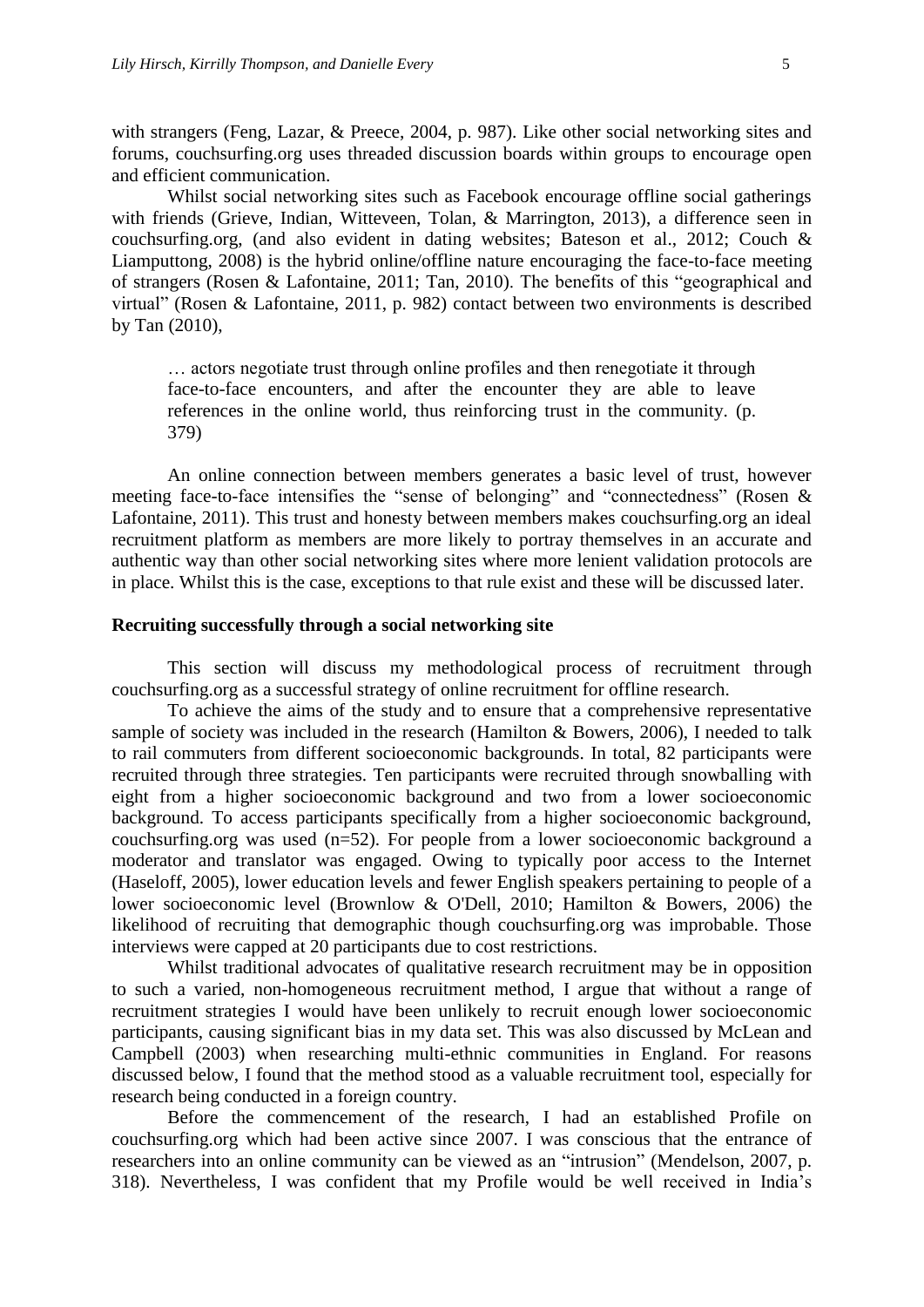with strangers [\(Feng, Lazar, & Preece, 2004, p. 987\)](#page-12-12). Like other social networking sites and forums, couchsurfing.org uses threaded discussion boards within groups to encourage open and efficient communication.

Whilst social networking sites such as Facebook encourage offline social gatherings with friends [\(Grieve, Indian, Witteveen, Tolan, & Marrington, 2013\)](#page-12-13), a difference seen in couchsurfing.org, (and also evident in dating websites; [Bateson et al., 2012;](#page-11-1) [Couch &](#page-12-4)  [Liamputtong, 2008\)](#page-12-4) is the hybrid online/offline nature encouraging the face-to-face meeting of strangers [\(Rosen & Lafontaine, 2011;](#page-13-6) [Tan, 2010\)](#page-13-7). The benefits of this "geographical and virtual" [\(Rosen & Lafontaine, 2011, p. 982\)](#page-13-6) contact between two environments is described by Tan [\(2010\)](#page-13-7),

… actors negotiate trust through online profiles and then renegotiate it through face-to-face encounters, and after the encounter they are able to leave references in the online world, thus reinforcing trust in the community. (p. 379)

An online connection between members generates a basic level of trust, however meeting face-to-face intensifies the "sense of belonging" and "connectedness" [\(Rosen &](#page-13-6)  [Lafontaine, 2011\)](#page-13-6). This trust and honesty between members makes couchsurfing.org an ideal recruitment platform as members are more likely to portray themselves in an accurate and authentic way than other social networking sites where more lenient validation protocols are in place. Whilst this is the case, exceptions to that rule exist and these will be discussed later.

#### **Recruiting successfully through a social networking site**

This section will discuss my methodological process of recruitment through couchsurfing.org as a successful strategy of online recruitment for offline research.

To achieve the aims of the study and to ensure that a comprehensive representative sample of society was included in the research [\(Hamilton & Bowers, 2006\)](#page-12-2), I needed to talk to rail commuters from different socioeconomic backgrounds. In total, 82 participants were recruited through three strategies. Ten participants were recruited through snowballing with eight from a higher socioeconomic background and two from a lower socioeconomic background. To access participants specifically from a higher socioeconomic background, couchsurfing.org was used (n=52). For people from a lower socioeconomic background a moderator and translator was engaged. Owing to typically poor access to the Internet [\(Haseloff, 2005\)](#page-12-14), lower education levels and fewer English speakers pertaining to people of a lower socioeconomic level [\(Brownlow & O'Dell, 2010;](#page-12-15) [Hamilton & Bowers, 2006\)](#page-12-2) the likelihood of recruiting that demographic though couchsurfing.org was improbable. Those interviews were capped at 20 participants due to cost restrictions.

Whilst traditional advocates of qualitative research recruitment may be in opposition to such a varied, non-homogeneous recruitment method, I argue that without a range of recruitment strategies I would have been unlikely to recruit enough lower socioeconomic participants, causing significant bias in my data set. This was also discussed by McLean and Campbell [\(2003\)](#page-12-16) when researching multi-ethnic communities in England. For reasons discussed below, I found that the method stood as a valuable recruitment tool, especially for research being conducted in a foreign country.

Before the commencement of the research, I had an established Profile on couchsurfing.org which had been active since 2007. I was conscious that the entrance of researchers into an online community can be viewed as an "intrusion" [\(Mendelson, 2007, p.](#page-13-8)  [318\)](#page-13-8). Nevertheless, I was confident that my Profile would be well received in India's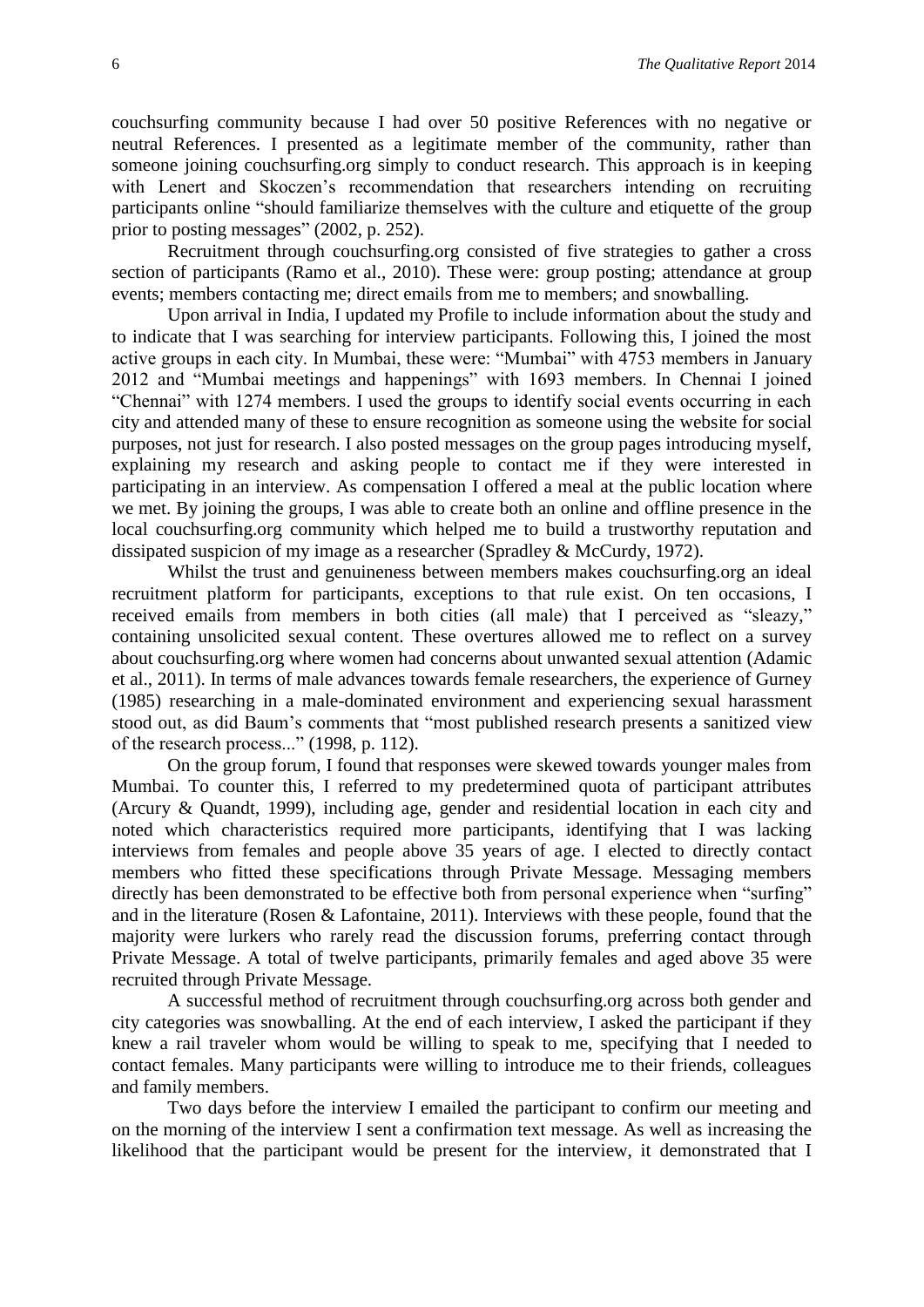couchsurfing community because I had over 50 positive References with no negative or neutral References. I presented as a legitimate member of the community, rather than someone joining couchsurfing.org simply to conduct research. This approach is in keeping with Lenert and Skoczen's recommendation that researchers intending on recruiting participants online "should familiarize themselves with the culture and etiquette of the group prior to posting messages" [\(2002, p. 252\)](#page-12-17).

Recruitment through couchsurfing.org consisted of five strategies to gather a cross section of participants [\(Ramo et al., 2010\)](#page-13-5). These were: group posting; attendance at group events; members contacting me; direct emails from me to members; and snowballing.

Upon arrival in India, I updated my Profile to include information about the study and to indicate that I was searching for interview participants. Following this, I joined the most active groups in each city. In Mumbai, these were: "Mumbai" with 4753 members in January 2012 and "Mumbai meetings and happenings" with 1693 members. In Chennai I joined "Chennai" with 1274 members. I used the groups to identify social events occurring in each city and attended many of these to ensure recognition as someone using the website for social purposes, not just for research. I also posted messages on the group pages introducing myself, explaining my research and asking people to contact me if they were interested in participating in an interview. As compensation I offered a meal at the public location where we met. By joining the groups, I was able to create both an online and offline presence in the local couchsurfing.org community which helped me to build a trustworthy reputation and dissipated suspicion of my image as a researcher [\(Spradley & McCurdy, 1972\)](#page-13-18).

Whilst the trust and genuineness between members makes couchsurfing.org an ideal recruitment platform for participants, exceptions to that rule exist. On ten occasions, I received emails from members in both cities (all male) that I perceived as "sleazy," containing unsolicited sexual content. These overtures allowed me to reflect on a survey about couchsurfing.org where women had concerns about unwanted sexual attention [\(Adamic](#page-11-5)  [et al., 2011\)](#page-11-5). In terms of male advances towards female researchers, the experience of Gurney [\(1985\)](#page-12-10) researching in a male-dominated environment and experiencing sexual harassment stood out, as did Baum's comments that "most published research presents a sanitized view of the research process..." [\(1998, p.](#page-11-6) 112).

On the group forum, I found that responses were skewed towards younger males from Mumbai. To counter this, I referred to my predetermined quota of participant attributes [\(Arcury & Quandt, 1999\)](#page-11-7), including age, gender and residential location in each city and noted which characteristics required more participants, identifying that I was lacking interviews from females and people above 35 years of age. I elected to directly contact members who fitted these specifications through Private Message. Messaging members directly has been demonstrated to be effective both from personal experience when "surfing" and in the literature [\(Rosen & Lafontaine, 2011\)](#page-13-6). Interviews with these people, found that the majority were lurkers who rarely read the discussion forums, preferring contact through Private Message. A total of twelve participants, primarily females and aged above 35 were recruited through Private Message.

A successful method of recruitment through couchsurfing.org across both gender and city categories was snowballing. At the end of each interview, I asked the participant if they knew a rail traveler whom would be willing to speak to me, specifying that I needed to contact females. Many participants were willing to introduce me to their friends, colleagues and family members.

Two days before the interview I emailed the participant to confirm our meeting and on the morning of the interview I sent a confirmation text message. As well as increasing the likelihood that the participant would be present for the interview, it demonstrated that I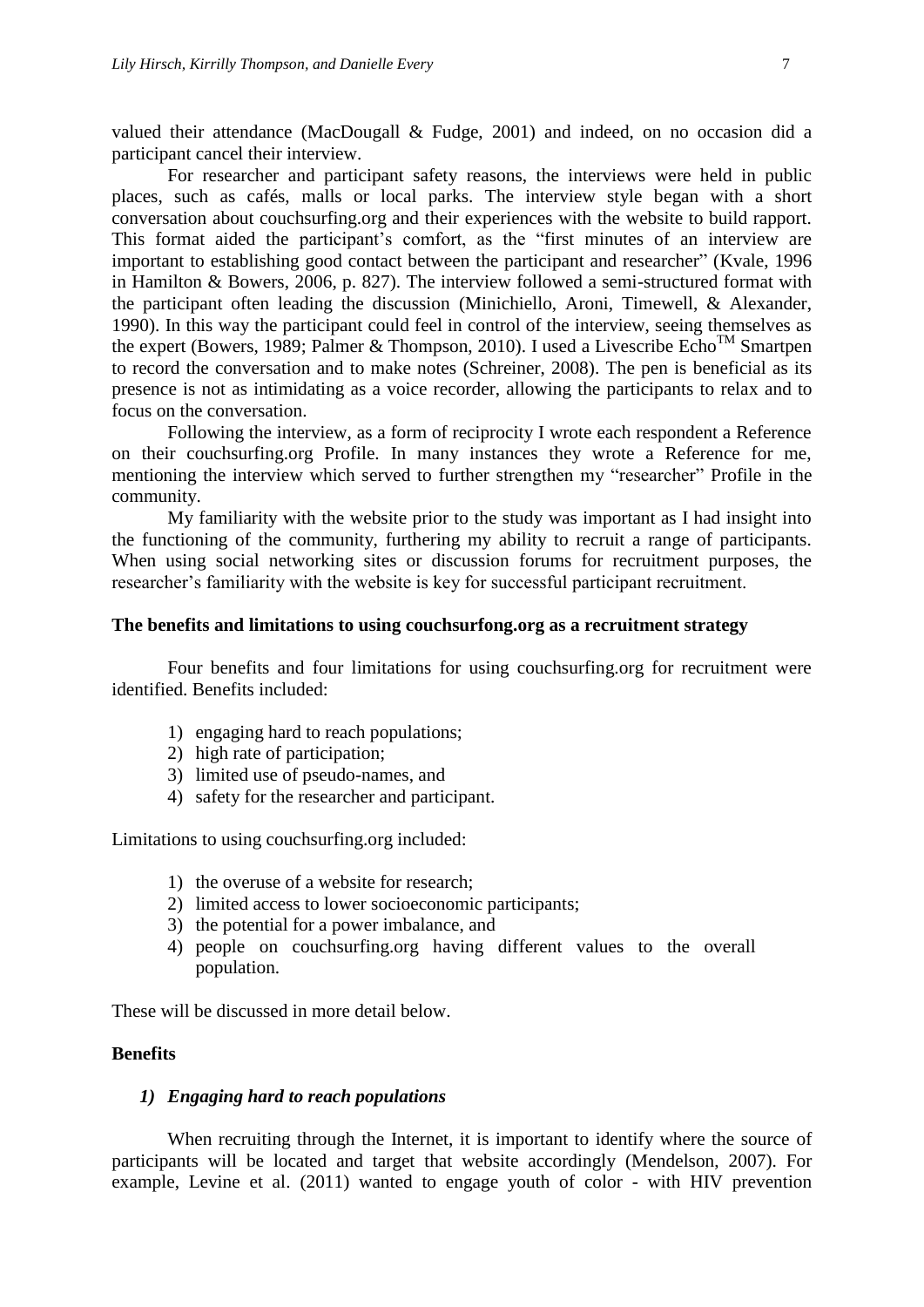valued their attendance [\(MacDougall & Fudge, 2001\)](#page-12-18) and indeed, on no occasion did a participant cancel their interview.

For researcher and participant safety reasons, the interviews were held in public places, such as cafés, malls or local parks. The interview style began with a short conversation about couchsurfing.org and their experiences with the website to build rapport. This format aided the participant's comfort, as the "first minutes of an interview are important to establishing good contact between the participant and researcher" [\(Kvale, 1996](#page-12-19)  [in Hamilton &](#page-12-19) Bowers, 2006, p. 827). The interview followed a semi-structured format with the participant often leading the discussion [\(Minichiello, Aroni, Timewell, & Alexander,](#page-13-19)  [1990\)](#page-13-19). In this way the participant could feel in control of the interview, seeing themselves as the expert [\(Bowers, 1989;](#page-11-8) [Palmer & Thompson, 2010\)](#page-13-15). I used a Livescribe  $Echo<sup>TM</sup>$  Smartpen to record the conversation and to make notes [\(Schreiner, 2008\)](#page-13-20). The pen is beneficial as its presence is not as intimidating as a voice recorder, allowing the participants to relax and to focus on the conversation.

Following the interview, as a form of reciprocity I wrote each respondent a Reference on their couchsurfing.org Profile. In many instances they wrote a Reference for me, mentioning the interview which served to further strengthen my "researcher" Profile in the community.

My familiarity with the website prior to the study was important as I had insight into the functioning of the community, furthering my ability to recruit a range of participants. When using social networking sites or discussion forums for recruitment purposes, the researcher's familiarity with the website is key for successful participant recruitment.

#### **The benefits and limitations to using couchsurfong.org as a recruitment strategy**

Four benefits and four limitations for using couchsurfing.org for recruitment were identified. Benefits included:

- 1) engaging hard to reach populations;
- 2) high rate of participation;
- 3) limited use of pseudo-names, and
- 4) safety for the researcher and participant.

Limitations to using couchsurfing.org included:

- 1) the overuse of a website for research;
- 2) limited access to lower socioeconomic participants;
- 3) the potential for a power imbalance, and
- 4) people on couchsurfing.org having different values to the overall population.

These will be discussed in more detail below.

#### **Benefits**

#### *1) Engaging hard to reach populations*

When recruiting through the Internet, it is important to identify where the source of participants will be located and target that website accordingly [\(Mendelson, 2007\)](#page-13-8). For example, Levine et al. [\(2011\)](#page-12-5) wanted to engage youth of color - with HIV prevention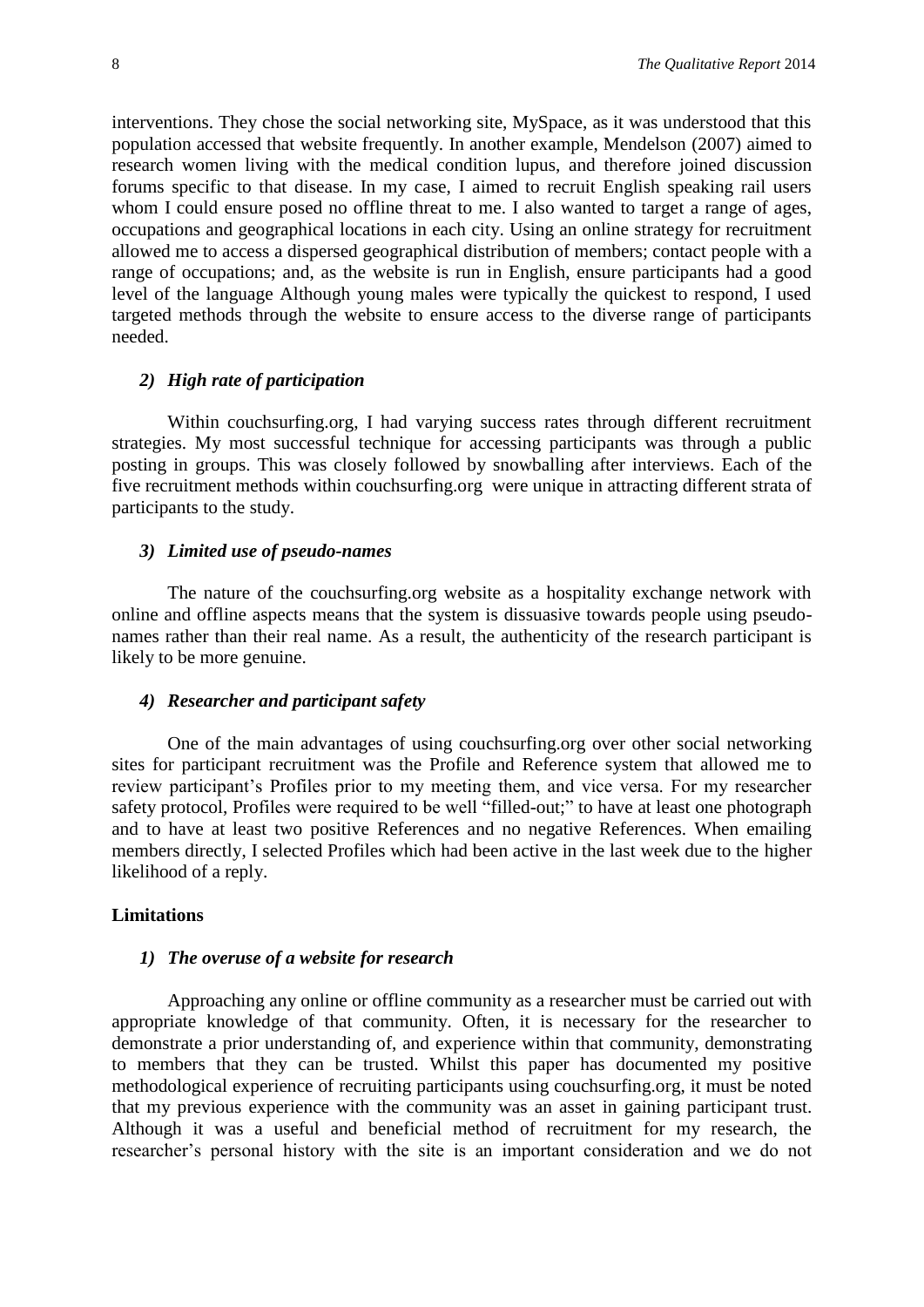interventions. They chose the social networking site, MySpace, as it was understood that this population accessed that website frequently. In another example, Mendelson [\(2007\)](#page-13-8) aimed to research women living with the medical condition lupus, and therefore joined discussion forums specific to that disease. In my case, I aimed to recruit English speaking rail users whom I could ensure posed no offline threat to me. I also wanted to target a range of ages, occupations and geographical locations in each city. Using an online strategy for recruitment allowed me to access a dispersed geographical distribution of members; contact people with a range of occupations; and, as the website is run in English, ensure participants had a good level of the language Although young males were typically the quickest to respond, I used targeted methods through the website to ensure access to the diverse range of participants needed.

#### *2) High rate of participation*

Within couchsurfing.org, I had varying success rates through different recruitment strategies. My most successful technique for accessing participants was through a public posting in groups. This was closely followed by snowballing after interviews. Each of the five recruitment methods within couchsurfing.org were unique in attracting different strata of participants to the study.

#### *3) Limited use of pseudo-names*

The nature of the couchsurfing.org website as a hospitality exchange network with online and offline aspects means that the system is dissuasive towards people using pseudonames rather than their real name. As a result, the authenticity of the research participant is likely to be more genuine.

#### *4) Researcher and participant safety*

One of the main advantages of using couchsurfing.org over other social networking sites for participant recruitment was the Profile and Reference system that allowed me to review participant's Profiles prior to my meeting them, and vice versa. For my researcher safety protocol, Profiles were required to be well "filled-out;" to have at least one photograph and to have at least two positive References and no negative References. When emailing members directly, I selected Profiles which had been active in the last week due to the higher likelihood of a reply.

#### **Limitations**

#### *1) The overuse of a website for research*

Approaching any online or offline community as a researcher must be carried out with appropriate knowledge of that community. Often, it is necessary for the researcher to demonstrate a prior understanding of, and experience within that community, demonstrating to members that they can be trusted. Whilst this paper has documented my positive methodological experience of recruiting participants using couchsurfing.org, it must be noted that my previous experience with the community was an asset in gaining participant trust. Although it was a useful and beneficial method of recruitment for my research, the researcher's personal history with the site is an important consideration and we do not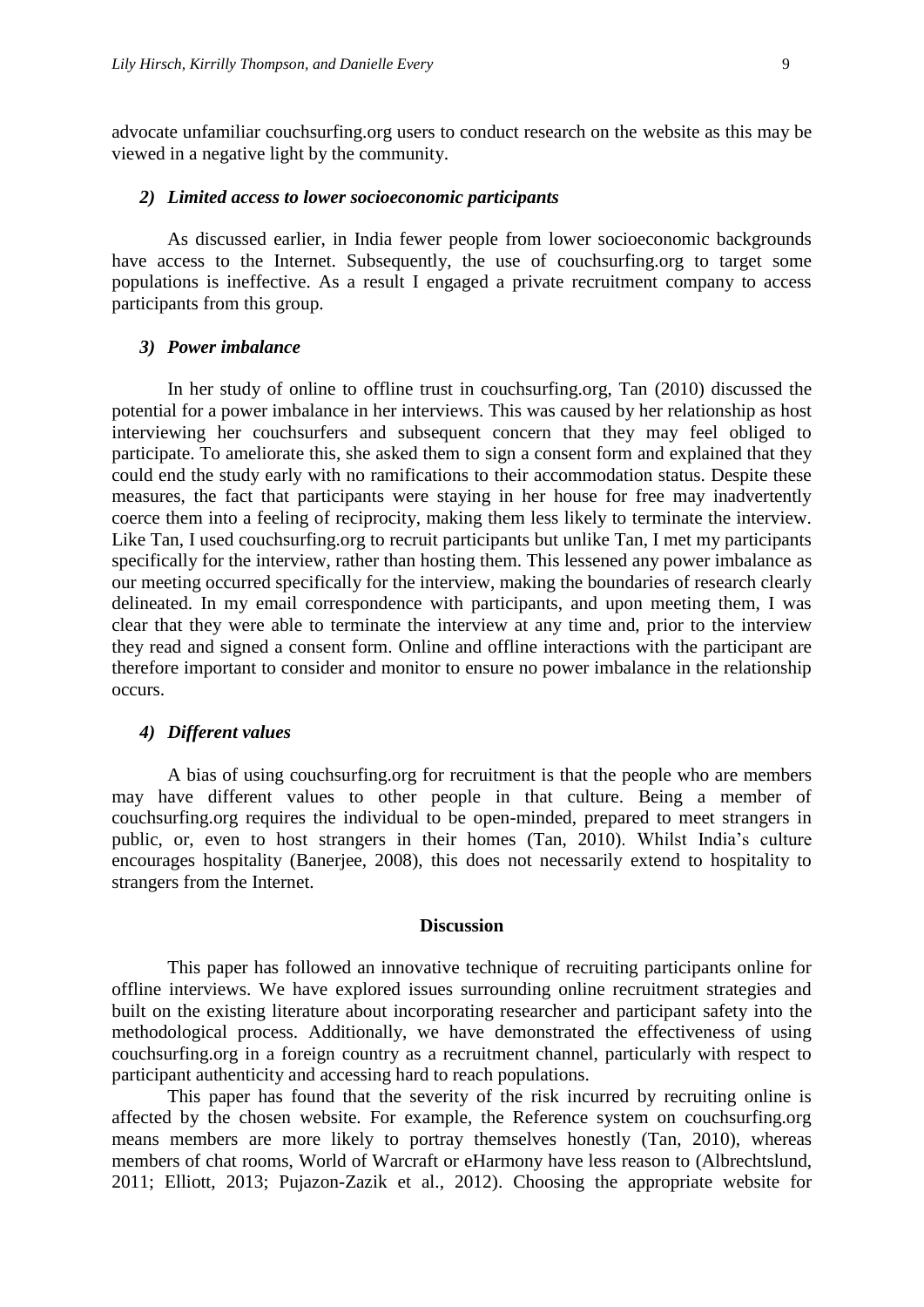advocate unfamiliar couchsurfing.org users to conduct research on the website as this may be viewed in a negative light by the community.

#### *2) Limited access to lower socioeconomic participants*

As discussed earlier, in India fewer people from lower socioeconomic backgrounds have access to the Internet. Subsequently, the use of couchsurfing.org to target some populations is ineffective. As a result I engaged a private recruitment company to access participants from this group.

#### *3) Power imbalance*

In her study of online to offline trust in couchsurfing.org, Tan [\(2010\)](#page-13-7) discussed the potential for a power imbalance in her interviews. This was caused by her relationship as host interviewing her couchsurfers and subsequent concern that they may feel obliged to participate. To ameliorate this, she asked them to sign a consent form and explained that they could end the study early with no ramifications to their accommodation status. Despite these measures, the fact that participants were staying in her house for free may inadvertently coerce them into a feeling of reciprocity, making them less likely to terminate the interview. Like Tan, I used couchsurfing.org to recruit participants but unlike Tan, I met my participants specifically for the interview, rather than hosting them. This lessened any power imbalance as our meeting occurred specifically for the interview, making the boundaries of research clearly delineated. In my email correspondence with participants, and upon meeting them, I was clear that they were able to terminate the interview at any time and, prior to the interview they read and signed a consent form. Online and offline interactions with the participant are therefore important to consider and monitor to ensure no power imbalance in the relationship occurs.

#### *4) Different values*

A bias of using couchsurfing.org for recruitment is that the people who are members may have different values to other people in that culture. Being a member of couchsurfing.org requires the individual to be open-minded, prepared to meet strangers in public, or, even to host strangers in their homes [\(Tan, 2010\)](#page-13-7). Whilst India's culture encourages hospitality [\(Banerjee, 2008\)](#page-11-9), this does not necessarily extend to hospitality to strangers from the Internet.

#### **Discussion**

This paper has followed an innovative technique of recruiting participants online for offline interviews. We have explored issues surrounding online recruitment strategies and built on the existing literature about incorporating researcher and participant safety into the methodological process. Additionally, we have demonstrated the effectiveness of using couchsurfing.org in a foreign country as a recruitment channel, particularly with respect to participant authenticity and accessing hard to reach populations.

This paper has found that the severity of the risk incurred by recruiting online is affected by the chosen website. For example, the Reference system on couchsurfing.org means members are more likely to portray themselves honestly [\(Tan, 2010\)](#page-13-7), whereas members of chat rooms, World of Warcraft or eHarmony have less reason to [\(Albrechtslund,](#page-11-3)  [2011;](#page-11-3) Elliott, 20[13;](#page-12-8) [Pujazon-Zazik et al., 2012\)](#page-13-13). Choosing the appropriate website for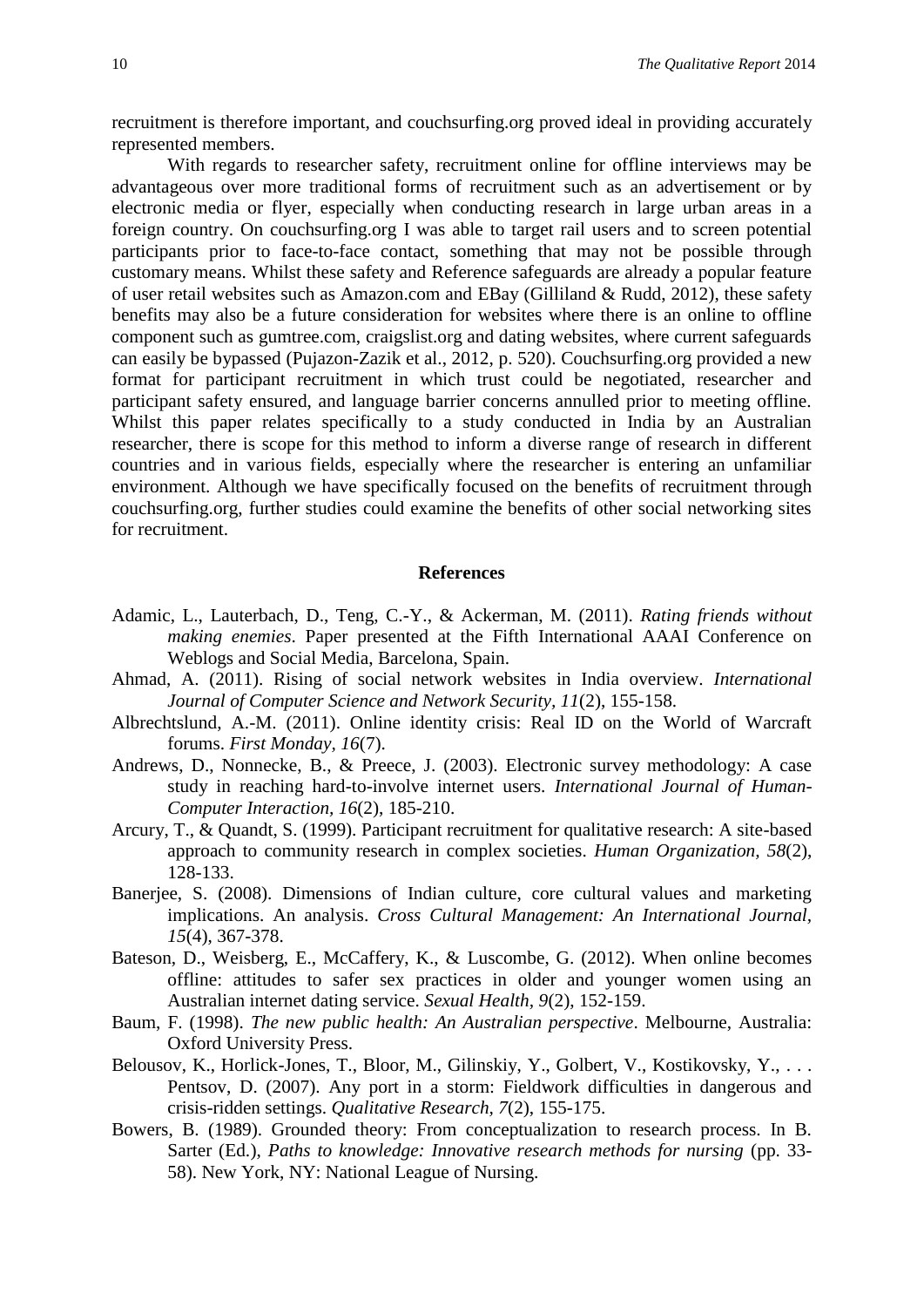recruitment is therefore important, and couchsurfing.org proved ideal in providing accurately represented members.

With regards to researcher safety, recruitment online for offline interviews may be advantageous over more traditional forms of recruitment such as an advertisement or by electronic media or flyer, especially when conducting research in large urban areas in a foreign country. On couchsurfing.org I was able to target rail users and to screen potential participants prior to face-to-face contact, something that may not be possible through customary means. Whilst these safety and Reference safeguards are already a popular feature of user retail websites such as Amazon.com and EBay [\(Gilliland & Rudd, 2012\)](#page-12-20), these safety benefits may also be a future consideration for websites where there is an online to offline component such as gumtree.com, craigslist.org and dating websites, where current safeguards can easily be bypassed [\(Pujazon-Zazik et al., 2012,](#page-13-13) p. 520). Couchsurfing.org provided a new format for participant recruitment in which trust could be negotiated, researcher and participant safety ensured, and language barrier concerns annulled prior to meeting offline. Whilst this paper relates specifically to a study conducted in India by an Australian researcher, there is scope for this method to inform a diverse range of research in different countries and in various fields, especially where the researcher is entering an unfamiliar environment. Although we have specifically focused on the benefits of recruitment through couchsurfing.org, further studies could examine the benefits of other social networking sites for recruitment.

#### **References**

- <span id="page-11-5"></span>Adamic, L., Lauterbach, D., Teng, C.-Y., & Ackerman, M. (2011). *Rating friends without making enemies*. Paper presented at the Fifth International AAAI Conference on Weblogs and Social Media, Barcelona, Spain.
- <span id="page-11-0"></span>Ahmad, A. (2011). Rising of social network websites in India overview. *International Journal of Computer Science and Network Security, 11*(2), 155-158.
- <span id="page-11-3"></span>Albrechtslund, A.-M. (2011). Online identity crisis: Real ID on the World of Warcraft forums. *First Monday, 16*(7).
- <span id="page-11-2"></span>Andrews, D., Nonnecke, B., & Preece, J. (2003). Electronic survey methodology: A case study in reaching hard-to-involve internet users. *International Journal of Human-Computer Interaction, 16*(2), 185-210.
- <span id="page-11-7"></span>Arcury, T., & Quandt, S. (1999). Participant recruitment for qualitative research: A site-based approach to community research in complex societies. *Human Organization, 58*(2), 128-133.
- <span id="page-11-9"></span>Banerjee, S. (2008). Dimensions of Indian culture, core cultural values and marketing implications. An analysis. *Cross Cultural Management: An International Journal, 15*(4), 367-378.
- <span id="page-11-1"></span>Bateson, D., Weisberg, E., McCaffery, K., & Luscombe, G. (2012). When online becomes offline: attitudes to safer sex practices in older and younger women using an Australian internet dating service. *Sexual Health, 9*(2), 152-159.
- <span id="page-11-6"></span>Baum, F. (1998). *The new public health: An Australian perspective*. Melbourne, Australia: Oxford University Press.
- <span id="page-11-4"></span>Belousov, K., Horlick-Jones, T., Bloor, M., Gilinskiy, Y., Golbert, V., Kostikovsky, Y., ... Pentsov, D. (2007). Any port in a storm: Fieldwork difficulties in dangerous and crisis-ridden settings. *Qualitative Research, 7*(2), 155-175.
- <span id="page-11-8"></span>Bowers, B. (1989). Grounded theory: From conceptualization to research process. In B. Sarter (Ed.), *Paths to knowledge: Innovative research methods for nursing* (pp. 33- 58). New York, NY: National League of Nursing.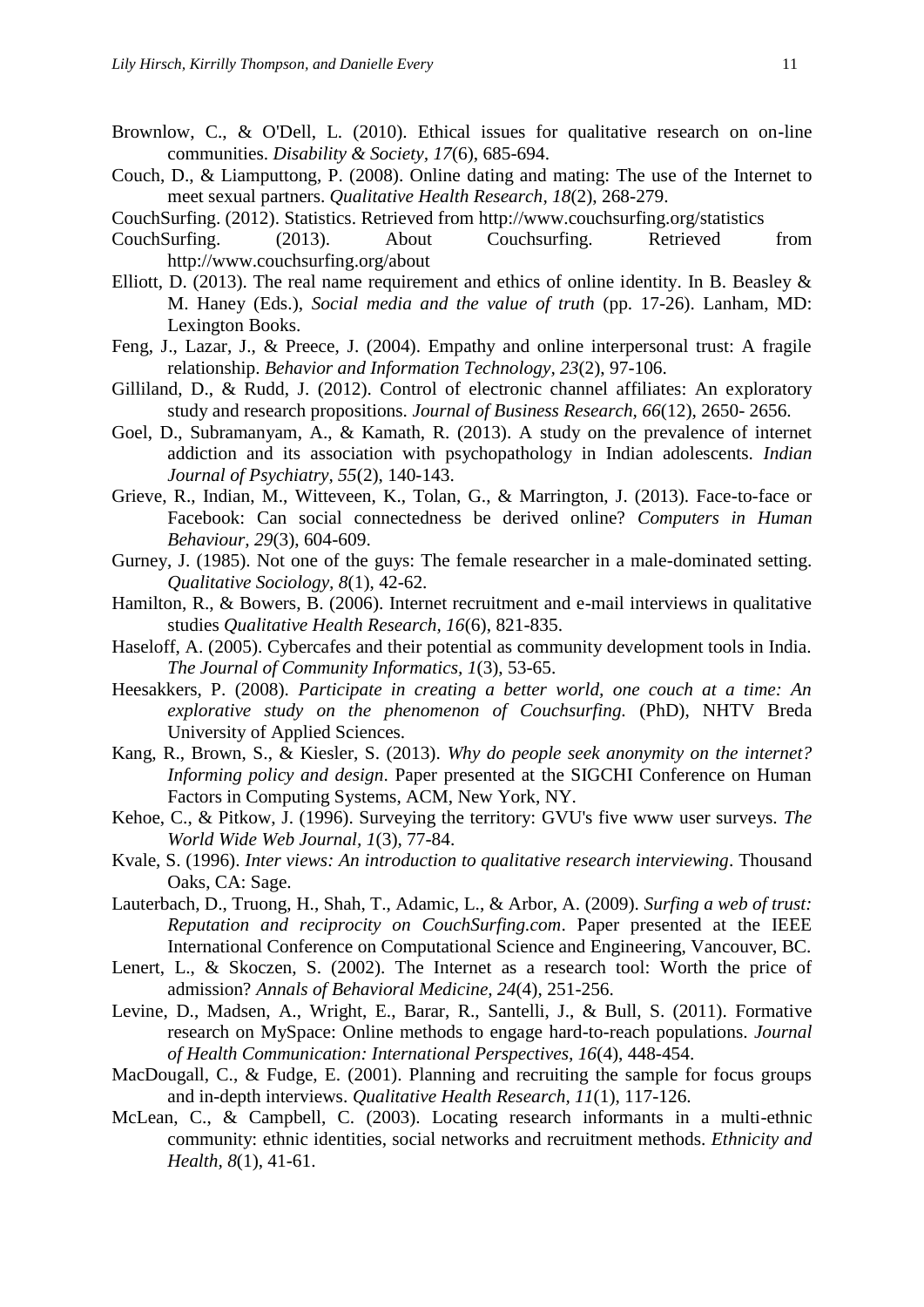- <span id="page-12-15"></span>Brownlow, C., & O'Dell, L. (2010). Ethical issues for qualitative research on on-line communities. *Disability & Society, 17*(6), 685-694.
- <span id="page-12-4"></span>Couch, D., & Liamputtong, P. (2008). Online dating and mating: The use of the Internet to meet sexual partners. *Qualitative Health Research, 18*(2), 268-279.
- <span id="page-12-6"></span>CouchSurfing. (2012). Statistics. Retrieved from <http://www.couchsurfing.org/statistics>
- <span id="page-12-1"></span>CouchSurfing. (2013). About Couchsurfing. Retrieved from <http://www.couchsurfing.org/about>
- <span id="page-12-8"></span>Elliott, D. (2013). The real name requirement and ethics of online identity. In B. Beasley  $\&$ M. Haney (Eds.), *Social media and the value of truth* (pp. 17-26). Lanham, MD: Lexington Books.
- <span id="page-12-12"></span>Feng, J., Lazar, J., & Preece, J. (2004). Empathy and online interpersonal trust: A fragile relationship. *Behavior and Information Technology, 23*(2), 97-106.
- <span id="page-12-20"></span>Gilliland, D., & Rudd, J. (2012). Control of electronic channel affiliates: An exploratory study and research propositions. *Journal of Business Research, 66*(12), 2650- 2656.
- <span id="page-12-0"></span>Goel, D., Subramanyam, A., & Kamath, R. (2013). A study on the prevalence of internet addiction and its association with psychopathology in Indian adolescents. *Indian Journal of Psychiatry, 55*(2), 140-143.
- <span id="page-12-13"></span>Grieve, R., Indian, M., Witteveen, K., Tolan, G., & Marrington, J. (2013). Face-to-face or Facebook: Can social connectedness be derived online? *Computers in Human Behaviour, 29*(3), 604-609.
- <span id="page-12-10"></span>Gurney, J. (1985). Not one of the guys: The female researcher in a male-dominated setting. *Qualitative Sociology, 8*(1), 42-62.
- <span id="page-12-2"></span>Hamilton, R., & Bowers, B. (2006). Internet recruitment and e-mail interviews in qualitative studies *Qualitative Health Research, 16*(6), 821-835.
- <span id="page-12-14"></span>Haseloff, A. (2005). Cybercafes and their potential as community development tools in India. *The Journal of Community Informatics, 1*(3), 53-65.
- <span id="page-12-11"></span>Heesakkers, P. (2008). *Participate in creating a better world, one couch at a time: An explorative study on the phenomenon of Couchsurfing.* (PhD), NHTV Breda University of Applied Sciences.
- <span id="page-12-9"></span>Kang, R., Brown, S., & Kiesler, S. (2013). *Why do people seek anonymity on the internet? Informing policy and design*. Paper presented at the SIGCHI Conference on Human Factors in Computing Systems, ACM, New York, NY.
- <span id="page-12-7"></span>Kehoe, C., & Pitkow, J. (1996). Surveying the territory: GVU's five www user surveys. *The World Wide Web Journal, 1*(3), 77-84.
- <span id="page-12-19"></span>Kvale, S. (1996). *Inter views: An introduction to qualitative research interviewing*. Thousand Oaks, CA: Sage.
- <span id="page-12-3"></span>Lauterbach, D., Truong, H., Shah, T., Adamic, L., & Arbor, A. (2009). *Surfing a web of trust: Reputation and reciprocity on CouchSurfing.com*. Paper presented at the IEEE International Conference on Computational Science and Engineering, Vancouver, BC.
- <span id="page-12-17"></span>Lenert, L., & Skoczen, S. (2002). The Internet as a research tool: Worth the price of admission? *Annals of Behavioral Medicine, 24*(4), 251-256.
- <span id="page-12-5"></span>Levine, D., Madsen, A., Wright, E., Barar, R., Santelli, J., & Bull, S. (2011). Formative research on MySpace: Online methods to engage hard-to-reach populations. *Journal of Health Communication: International Perspectives, 16*(4), 448-454.
- <span id="page-12-18"></span>MacDougall, C., & Fudge, E. (2001). Planning and recruiting the sample for focus groups and in-depth interviews. *Qualitative Health Research, 11*(1), 117-126.
- <span id="page-12-16"></span>McLean, C., & Campbell, C. (2003). Locating research informants in a multi-ethnic community: ethnic identities, social networks and recruitment methods. *Ethnicity and Health, 8*(1), 41-61.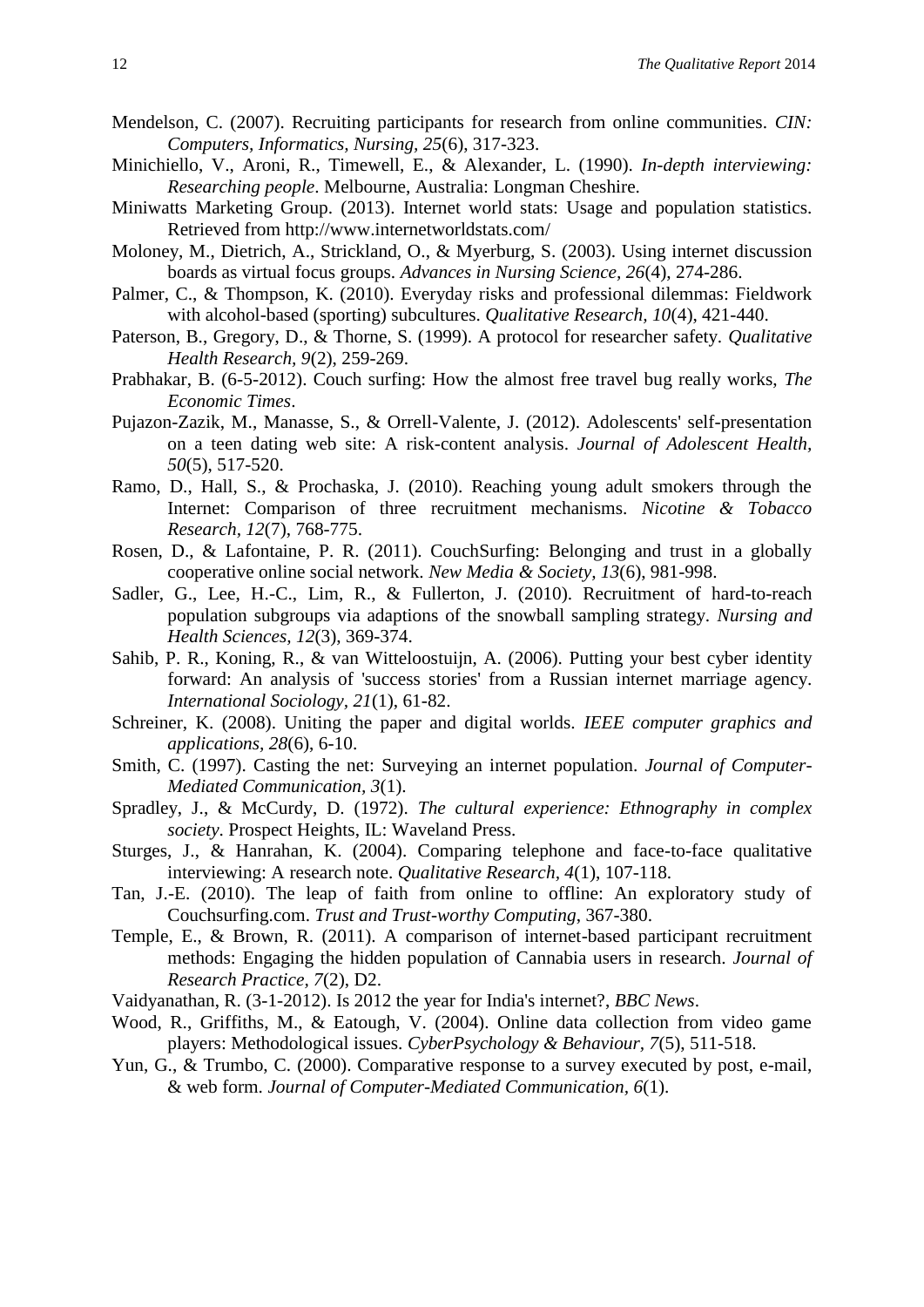- <span id="page-13-8"></span>Mendelson, C. (2007). Recruiting participants for research from online communities. *CIN: Computers, Informatics, Nursing, 25*(6), 317-323.
- <span id="page-13-19"></span>Minichiello, V., Aroni, R., Timewell, E., & Alexander, L. (1990). *In-depth interviewing: Researching people*. Melbourne, Australia: Longman Cheshire.
- <span id="page-13-1"></span>Miniwatts Marketing Group. (2013). Internet world stats: Usage and population statistics. Retrieved from<http://www.internetworldstats.com/>
- <span id="page-13-10"></span>Moloney, M., Dietrich, A., Strickland, O., & Myerburg, S. (2003). Using internet discussion boards as virtual focus groups. *Advances in Nursing Science, 26*(4), 274-286.
- <span id="page-13-15"></span>Palmer, C., & Thompson, K. (2010). Everyday risks and professional dilemmas: Fieldwork with alcohol-based (sporting) subcultures. *Qualitative Research, 10*(4), 421-440.
- <span id="page-13-16"></span>Paterson, B., Gregory, D., & Thorne, S. (1999). A protocol for researcher safety. *Qualitative Health Research, 9*(2), 259-269.
- <span id="page-13-3"></span>Prabhakar, B. (6-5-2012). Couch surfing: How the almost free travel bug really works, *The Economic Times*.
- <span id="page-13-13"></span>Pujazon-Zazik, M., Manasse, S., & Orrell-Valente, J. (2012). Adolescents' self-presentation on a teen dating web site: A risk-content analysis. *Journal of Adolescent Health, 50*(5), 517-520.
- <span id="page-13-5"></span>Ramo, D., Hall, S., & Prochaska, J. (2010). Reaching young adult smokers through the Internet: Comparison of three recruitment mechanisms. *Nicotine & Tobacco Research, 12*(7), 768-775.
- <span id="page-13-6"></span>Rosen, D., & Lafontaine, P. R. (2011). CouchSurfing: Belonging and trust in a globally cooperative online social network. *New Media & Society, 13*(6), 981-998.
- <span id="page-13-0"></span>Sadler, G., Lee, H.-C., Lim, R., & Fullerton, J. (2010). Recruitment of hard-to-reach population subgroups via adaptions of the snowball sampling strategy. *Nursing and Health Sciences, 12*(3), 369-374.
- <span id="page-13-14"></span>Sahib, P. R., Koning, R., & van Witteloostuijn, A. (2006). Putting your best cyber identity forward: An analysis of 'success stories' from a Russian internet marriage agency. *International Sociology, 21*(1), 61-82.
- <span id="page-13-20"></span>Schreiner, K. (2008). Uniting the paper and digital worlds. *IEEE computer graphics and applications, 28*(6), 6-10.
- <span id="page-13-12"></span>Smith, C. (1997). Casting the net: Surveying an internet population. *Journal of Computer-Mediated Communication, 3*(1).
- <span id="page-13-18"></span>Spradley, J., & McCurdy, D. (1972). *The cultural experience: Ethnography in complex society*. Prospect Heights, IL: Waveland Press.
- <span id="page-13-17"></span>Sturges, J., & Hanrahan, K. (2004). Comparing telephone and face-to-face qualitative interviewing: A research note. *Qualitative Research, 4*(1), 107-118.
- <span id="page-13-7"></span>Tan, J.-E. (2010). The leap of faith from online to offline: An exploratory study of Couchsurfing.com. *Trust and Trust-worthy Computing*, 367-380.
- <span id="page-13-9"></span>Temple, E., & Brown, R. (2011). A comparison of internet-based participant recruitment methods: Engaging the hidden population of Cannabia users in research. *Journal of Research Practice, 7*(2), D2.
- <span id="page-13-2"></span>Vaidyanathan, R. (3-1-2012). Is 2012 the year for India's internet?, *BBC News*.
- <span id="page-13-4"></span>Wood, R., Griffiths, M., & Eatough, V. (2004). Online data collection from video game players: Methodological issues. *CyberPsychology & Behaviour, 7*(5), 511-518.
- <span id="page-13-11"></span>Yun, G., & Trumbo, C. (2000). Comparative response to a survey executed by post, e-mail, & web form. *Journal of Computer-Mediated Communication, 6*(1).